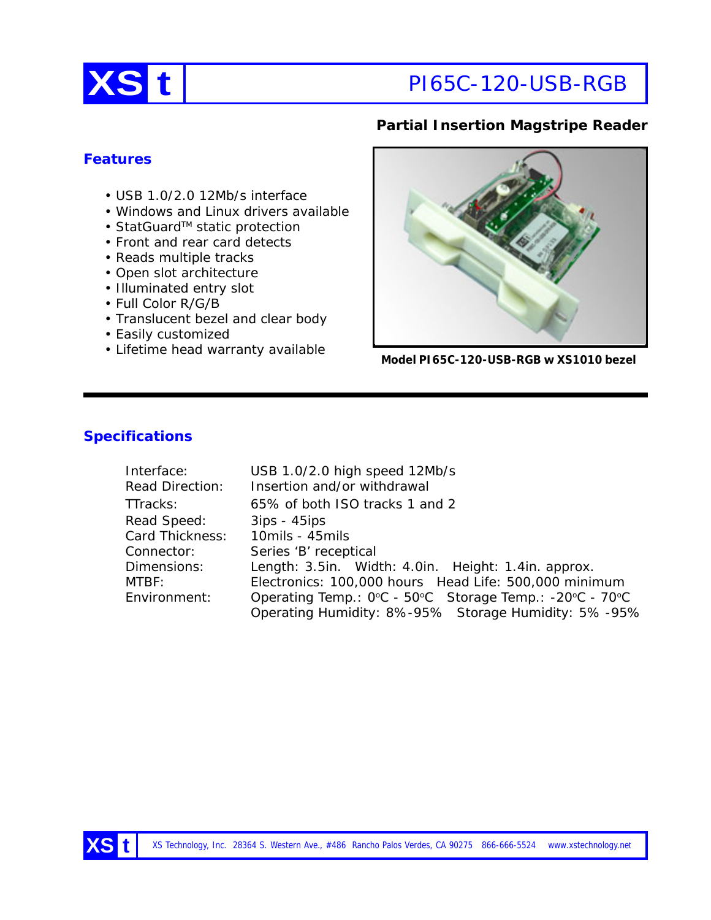

# **XS t** PI65C-120-USB-RGB

## **Partial Insertion Magstripe Reader**

### **Features**

- USB 1.0/2.0 12Mb/s interface
- Windows and Linux drivers available
- StatGuard™ static protection
- Front and rear card detects
- Reads multiple tracks
- Open slot architecture
- Illuminated entry slot
- Full Color R/G/B
- Translucent bezel and clear body
- Easily customized
- Lifetime head warranty available



**Model PI65C-120-USB-RGB w XS1010 bezel**

## **Specifications**

| Interface:      | USB 1.0/2.0 high speed 12Mb/s                           |  |
|-----------------|---------------------------------------------------------|--|
| Read Direction: | Insertion and/or withdrawal                             |  |
| TTracks:        | 65% of both ISO tracks 1 and 2                          |  |
| Read Speed:     | $3ips - 45ips$                                          |  |
| Card Thickness: | 10mils - 45mils                                         |  |
| Connector:      | Series 'B' receptical                                   |  |
| Dimensions:     | Length: 3.5in. Width: 4.0in. Height: 1.4in. approx.     |  |
| MTBF:           | Electronics: 100,000 hours Head Life: 500,000 minimum   |  |
| Environment:    | Operating Temp.: 0°C - 50°C Storage Temp.: -20°C - 70°C |  |
|                 | Operating Humidity: 8%-95% Storage Humidity: 5%-95%     |  |